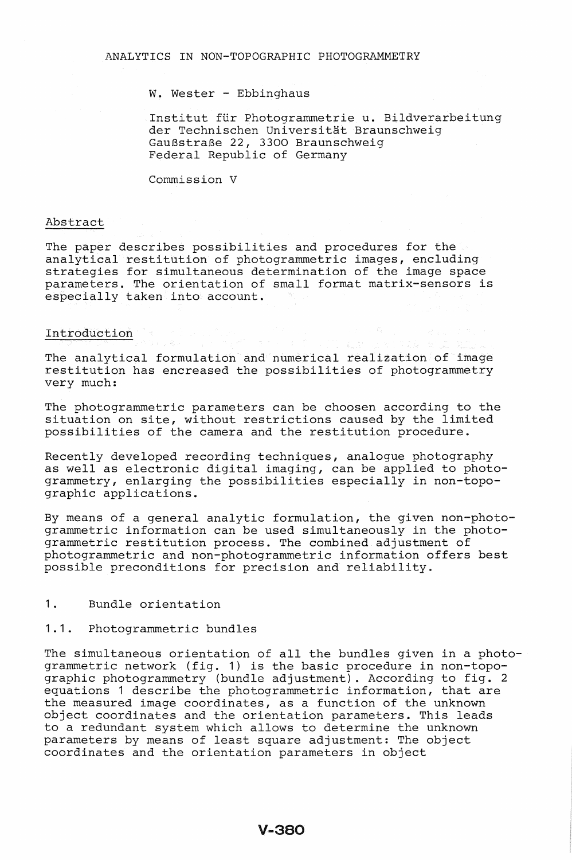### W. Wester - Ebbinghaus

Institut für Photogrammetrie u. Bildverarbeitung der Technischen Universität Braunschweig GauBstraBe 22, 3300 Braunschweig Federal Republic of Germany

Commission V

#### Abstract

The paper describes possibilities and procedures for the analytical restitution of photogrammetric images, encluding strategies for simultaneous determination of the image space parameters. The orientation of small format matrix-sensors is especially taken into account.

### Introduction

The analytical formulation and numerical realization of image restitution has encreased the possibilities of photogrammetry very much:

The photogrammetric parameters can be choosen according to the situation on site, without restrictions caused by the limited possibilities of the camera and the restitution procedure.

Recently developed recording techniques, analogue photography as well as electronic digital imaging, can be applied to photogrammetry, enlarging the possibilities especially in non-topographic applications.

By means of a general analytic formulation, the given non-photogrammetric information can be used simultaneously in the photogrammetric restitution process. The combined adjustment of photogrammetric and non-photogrammetric information offers best possible preconditions for precision and reliability.

### 1. Bundle orientation

## 1.1. Photogrammetric bundles

The simultaneous orientation of all the bundles given in a photogrammetric network (fig. 1) is the basic procedure in non-topographic photogrammetry (bundle adjustment). According to fig. 2 equations 1 describe the photogrammetric information, that are the measured image coordinates, as a function of the unknown object coordinates and the orientation parameters. This leads to a redundant system which allows to determine the unknown parameters by means of least square adjustment: The object coordinates and the orientation parameters in object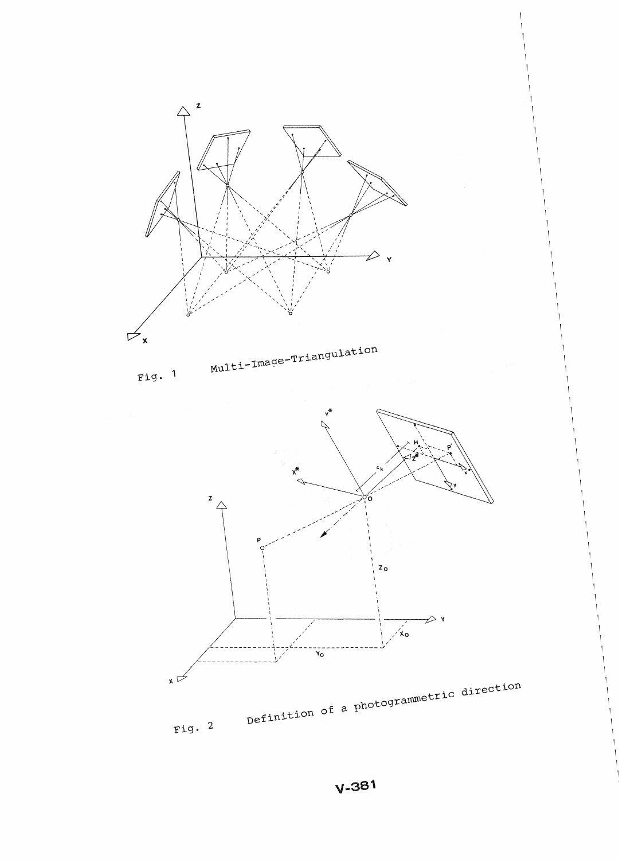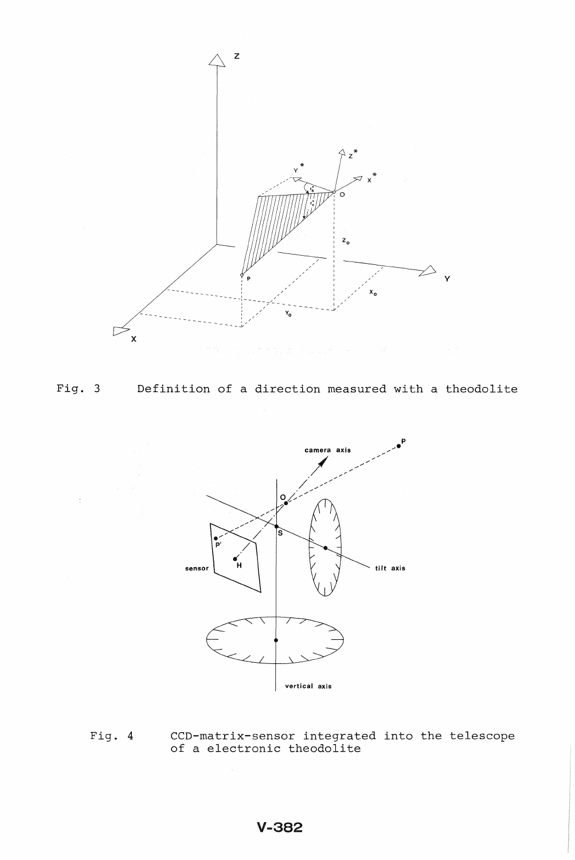



Definition of a direction measured with a theodolite



Fig. 4 CCD-matrix-sensor integrated into the telescope<br>of a electronic theodolite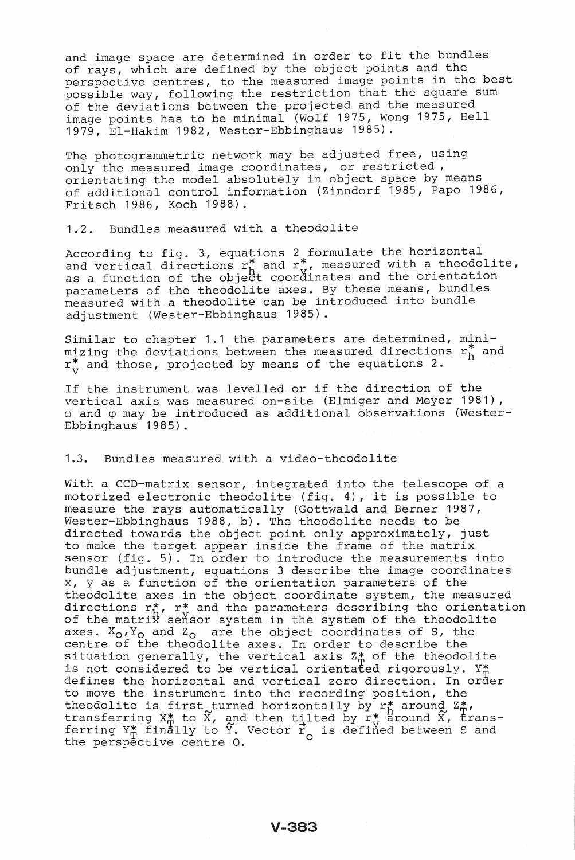and image space are determined in order to fit the bundles of rays, which are defined by the object points and the perspective centres, to the measured image points in the best possible way, following the restriction that the square sum of the deviations between the projected and the measured image points has to be minimal (Wolf 1975, Wong 1975, Hell 1979, EI-Hakim 1982, Wester-Ebbinghaus 1985).

The photogrammetric network may be adjusted free, using only the measured image coordinates, or restricted, orientating the model absolutely in object space by means of additional control information (Zinndorf 1985, Papo 1986, Fritsch 1986, Koch 1988).

1.2. Bundles measured with a theodolite

According to fig. 3, equations 2 formulate the horizontal and vertical directions  $r_h^*$  and  $r_v^*$ , measured with a theodolite, and vertical directions in and in models and the orientation parameters of the theodolite axes. By these means, bundles measured with a theodolite can be introduced into bundle adjustment (Wester-Ebbinghaus 1985).

Similar to chapter 1.1 the parameters are determined, minimizing the deviations between the measured directions  $r_h^*$  and  $r_v^*$  and those, projected by means of the equations 2.

If the instrument was levelled or if the direction of the vertical axis was measured on-site (Elmiger and Meyer 1981), w and  $\varphi$  may be introduced as additional observations (Wester-Ebbinghaus 1985).

### 1.3. Bundles measured with a video-theodolite

With a CCD-matrix sensor, integrated into the telescope of a motorized electronic theodolite (fig. 4), it is possible to measure the rays automatically (Gottwald and Berner 1987, Wester-Ebbinghaus 1988, b). The theodolite needs to be directed towards the object point only approximately, just to make the target appear inside the frame of the matrix sensor (fig. 5). In order to introduce the measurements into bundle adjustment, equations 3 describe the image coordinates x, y as a function of the orientation parameters of the theodolite axes in the object coordinate system, the measured theodolite axes in the object coordinate system, the measured<br>directions r\*, r\* and the parameters describing the orientation<br>of the matrix sensor system in the system of the theodolite axes.  $X_0, Y_0$  and  $Z_0$  are the object coordinates of S, the centre of the theodolite axes. In order to describe the centre or the theodorite axes. In order to describe the<br>situation generally, the vertical axis Z# of the theodolite sicuation generarry, the vertical axis  $z_{\overline{n}}$  or the theodoric<br>is not considered to be vertical orientated rigorously. Y# defines the horizontal and vertical zero direction. In order to move the instrument into the recording position, the to move the instrument into the recording position, the theodolite is first turned horizontally by  $r^*_{\uparrow}$  around  $z^*_{\uparrow}$ , transferring  $X^*$  to  $\tilde{X}$ , and then tilted by  $r^*$  around  $\tilde{X}$ , trans-<br>ferring  $Y^*$  finally to  $\tilde{Y}$ . Vector  $\tilde{Y}$  is defined between S and the perspective centre 0.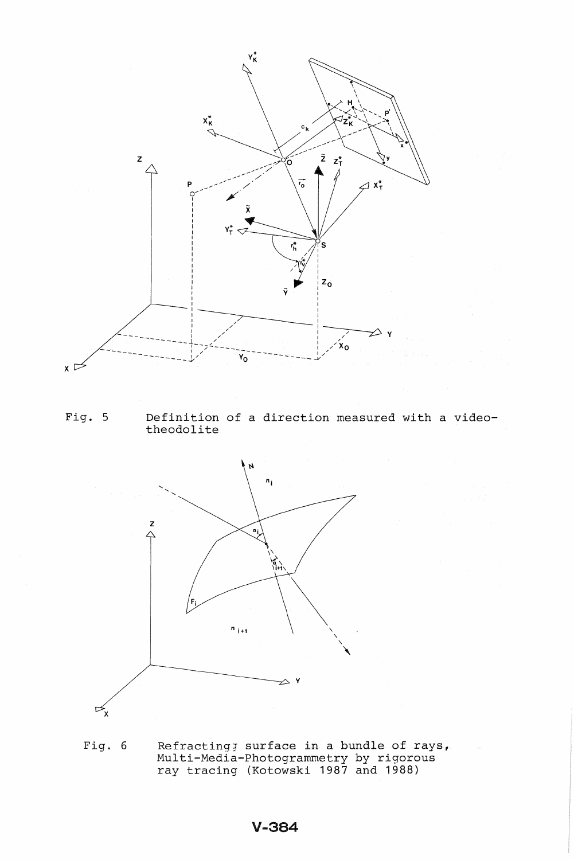

Fig. 5 Definition of a direction measured with a videotheodolite



Fig. 6 Refractingj surface in a bundle of rays, Multi-Media-Photogrammetry by rigorous ray tracing (Kotowski 1987 and 1988)

# **V-384**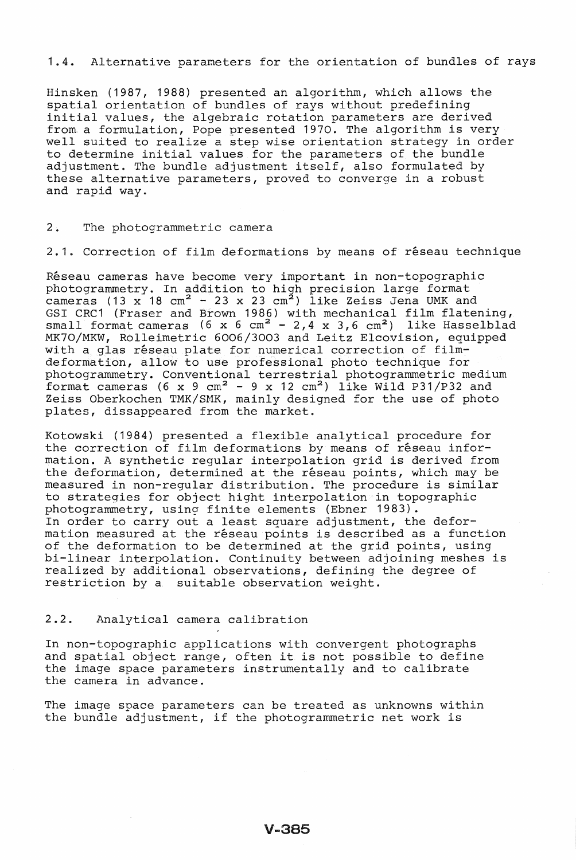### 1.4. Alternative parameters for the orientation of bundles of rays

Hinsken (1987, 1988) presented an algorithm, which allows the spatial orientation of bundles of rays without predefining initial values, the algebraic rotation parameters are derived from. a formulation, Pope presented 1970. The algorithm is very well suited to realize a step wise orientation strategy in order to determine initial values for the parameters of the bundle adjustment. The bundle adjustment itself, also formulated by these alternative parameters, proved to converge in a robust and rapid way.

### 2. The photogrammetric camera

2.1. Correction of film deformations by means of réseau technique

Réseau cameras have become very important in non-topographic photogrammetry. In addition to high precision large format cameras (13  $\mathrm{x}$  18 cm<sup>2</sup> - 23  $\mathrm{x}$  23 cm<sup>2</sup>) like Zeiss Jena UMK and GSI CRC1 (Fraser and Brown 1986) with mechanical film flatening, small format cameras (6 x 6 cm<sup>2</sup> - 2,4 x 3,6 cm<sup>2</sup>) like Hasselblad MK70/MKW, Rolleimetric 6006/3003 and Leitz Elcovision, equipped with a glas réseau plate for numerical correction of filmdeformation, allow to use professional photo technique for photogrammetry. Conventional terrestrial photogrammetric medium format cameras (6 x 9 cm<sup>2</sup> - 9 x 12 cm<sup>2</sup>) like Wild P31/P32 and Zeiss Oberkochen TMK/SMK, mainly designed for the use of photo plates, dissappeared from the market.

Kotowski (1984) presented a flexible analytical procedure for the correction of film deformations by means of réseau information. A synthetic regular interpolation grid is derived from the deformation, determined at the réseau points, which may be measured in non-regular distribution. The procedure is similar to strategies for object hight interpolation in topographic photogrammetry, using finite elements (Ebner 1983). In order to carry out a least square adjustment, the deformation measured at the réseau points is described as a function of the deformation to be determined at the grid points, using bi-linear interpolation. Continuity between adjoining meshes is realized by additional observations, defining the degree of restriction by a suitable observation weight.

### 2 .2. Analytical camera calibration

In non-topographic applications with convergent photographs and spatial object range, often it is not possible to define the image space parameters instrumentally and to calibrate the camera in advance.

The image space parameters can be treated as unknowns within the bundle adjustment, if the photogrammetric net work is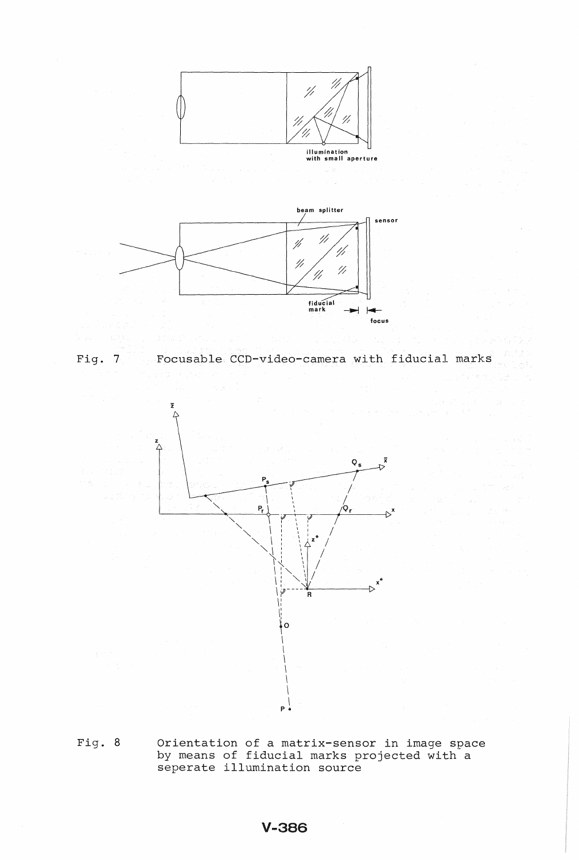

illumination with small aperture







Fig. 8 Orientation of a matrix-sensor in image space by means of fiducial marks projected with a seperate illumination source

# V-3S6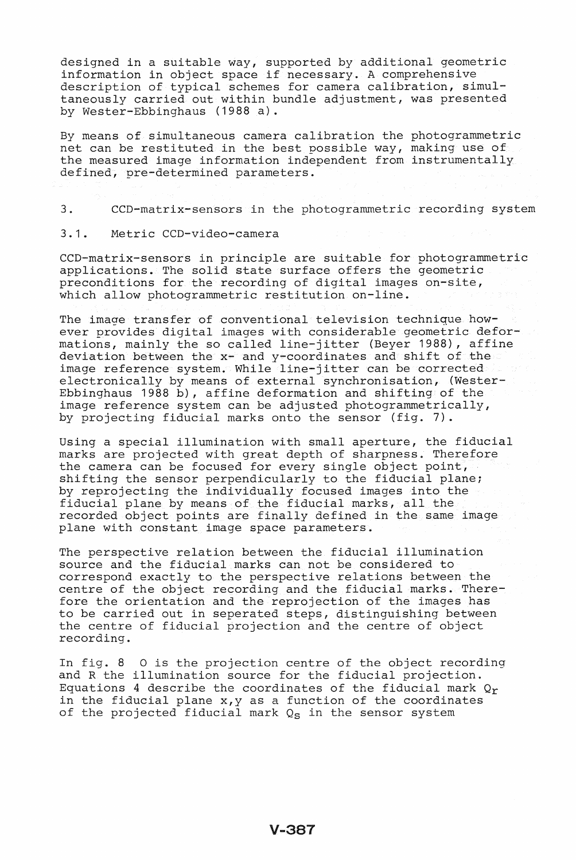designed in a suitable way, supported by additional geometric information in object space if necessary. A comprehensive description of typical schemes for camera calibration, simultaneously carried out within bundle adjustment, was presented by Wester-Ebbinghaus (1988 a).

By means of simultaneous camera calibration the photogrammetric net can be restituted in the best possible way, making use of the measured image information independent from instrumentally defined, pre-determined parameters.

3. CCD-matrix-sensors in the photogrammetric recording system

### 3.1. Metric CCD-video-camera

CCD-matrix-sensors in principle are suitable for photogrammetric applications. The solid state surface offers the geometric preconditions for the recording of digital images on-site, which allow photogrammetric restitution on-line.

The image transfer of conventional television technique however provides digital images with considerable geometric deformations, mainly the so called line-jitter (Beyer 1988), affine deviation between the x- and y-coordinates and shift of the image reference system. While line-jitter can be corrected electronically by means of external synchronisation, (Wester-Ebbinghaus 1988 b), affine deformation and shifting of the image reference system can be adjusted photogrammetrically, by projecting fiducial marks onto the sensor (fig. 7).

Using a special illumination with small aperture, the fiducial marks are projected with great depth of sharpness. Therefore the camera can be focused for every single object point, shifting the sensor perpendicularly to the fiducial plane; by reprojecting the individually focused images into the by reprojecting the individually focased images filed the fiducial plane by means of the fiducial marks, all the recorded object points are finally defined in the same image plane with constant image space parameters.

The perspective relation between the fiducial illumination source and the fiducial marks can not be considered to correspond exactly to the perspective relations between the centre of the object recording and the fiducial marks. Therefore the orientation and the reprojection of the images has to be carried out in seperated steps, distinguishing between the centre of fiducial projection and the centre of object recording.

In fig. 8 0 is the projection centre of the object recording and R the illumination source for the fiducial projection. Equations 4 describe the coordinates of the fiducial mark  $Q_r$ in the fiducial plane x,y as a function of the coordinates of the projected fiducial mark  $Q_S$  in the sensor system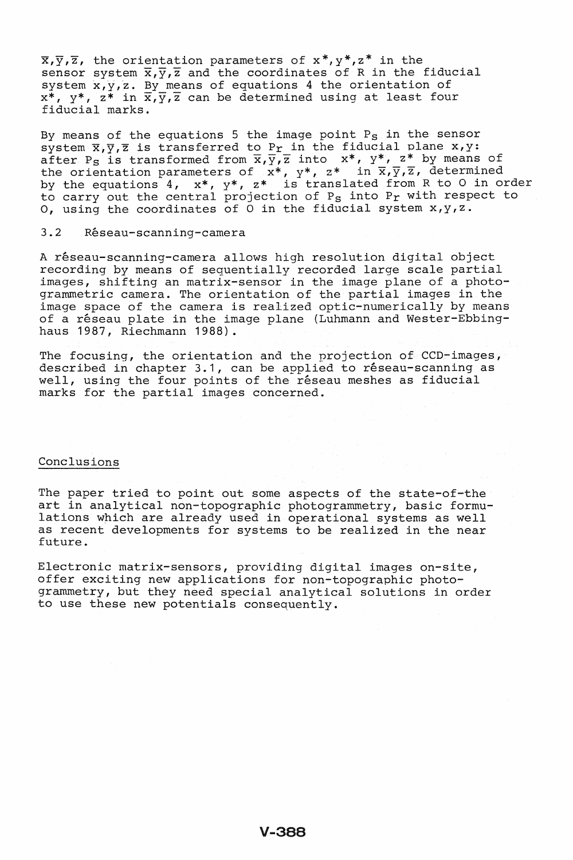$\overline{x}, \overline{y}, \overline{z}$ , the orientation parameters of  $x^*, y^*, z^*$  in the sensor system  $\overline{x}, \overline{y}, \overline{z}$  and the coordinates of R in the fiducial system  $x, y, z$ . By means of equations 4 the orientation of  $x^*$ ,  $y^*$ ,  $z^*$  in  $\overline{x}$ ,  $\overline{y}$ ,  $\overline{z}$  can be determined using at least four fiducial marks.

By means of the equations 5 the image point  $P_S$  in the sensor system  $\overline{x}, \overline{y}, \overline{z}$  is transferred to P<sub>r</sub> in the fiducial plane  $x, y$ : after P<sub>S</sub> is transformed from  $\overline{x}, \overline{y}, \overline{z}$  into  $x^*$ ,  $y^*$ ,  $z^*$  by means of the orientation parameters of  $x^*$ ,  $y^*$ ,  $z^*$  in  $\overline{x}$ ,  $\overline{y}$ ,  $\overline{z}$ , determined by the equations 4,  $x^*$ ,  $y^*$ ,  $z^*$  is translated from R to O in order  $\frac{1}{2}$  and equations  $\frac{1}{2}$ ,  $\frac{1}{2}$ ,  $\frac{1}{2}$  for extending the Pr with respect to 0, using the coordinates of 0 in the fiducial system x,y,z.

### 3.2 Reseau-scanning-camera

A réseau-scanning-camera allows high resolution digital object recording by means of sequentially recorded large scale partial images, shifting an matrix-sensor in the image plane of a photogrammetric camera. The orientation of the partial images in the image space of the camera is realized optic-numerically by means of a réseau plate in the image plane (Luhmann and Wester-Ebbinghaus 1987, Riechmann 1988).

The focusing, the orientation and the projection of CCD-images, described in chapter 3.1, can be applied to réseau-scanning as well, using the four points of the réseau meshes as fiducial marks for the partial images concerned.

### Conclusions

The paper tried to point out some aspects of the state-of-the art in analytical non-topographic photogrammetry, basic formulations which are already used in operational systems as well as recent developments for systems to be realized in the near future.

Electronic matrix-sensors, providing digital images on-site, offer exciting new applications for non-topographic photogrammetry, but they need special analytical solutions in order to use these new potentials consequently.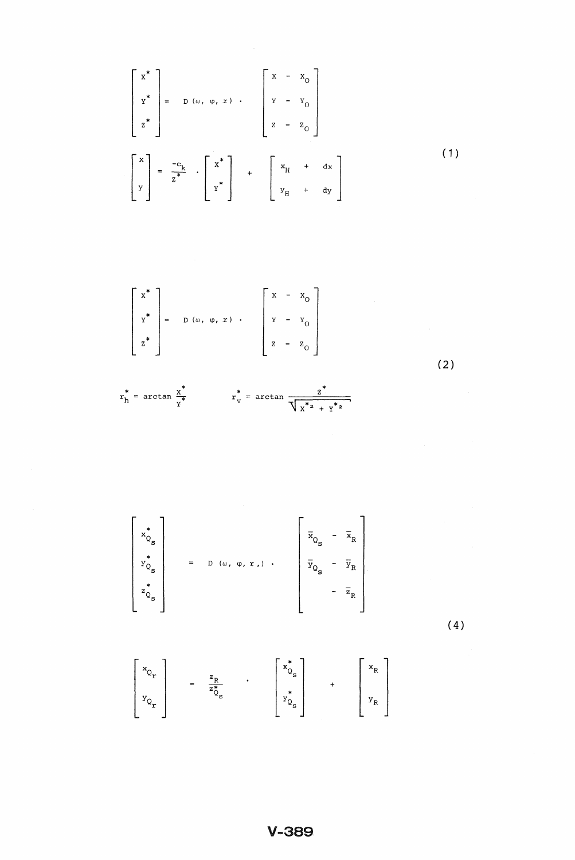$$
\begin{bmatrix}\nx^* \\
y^* \\
z^*\n\end{bmatrix} = D(\omega, \varphi, x) \cdot \begin{bmatrix}\nx - x_0 \\
y - y_0 \\
z - z_0\n\end{bmatrix}
$$
\n
$$
\begin{bmatrix}\nx \\
x^*\n\end{bmatrix} = \frac{-c_k}{z^*} \cdot \begin{bmatrix}\nx^* \\
y^*\n\end{bmatrix} + \begin{bmatrix}\nx_+ + dx_+ \\
y_+ + dy_+ \end{bmatrix}
$$
\n(1)

$$
\begin{bmatrix} x^* \\ x^* \\ z^* \end{bmatrix} = D(\omega, \varphi, x) \cdot \begin{bmatrix} x - x_0 \\ y - x_0 \\ z - z_0 \end{bmatrix}
$$

 $(2)$ 

$$
r_h^* = \arctan \frac{x^*}{y^*}
$$
  $r_v^* = \arctan \frac{z^*}{\sqrt{x^* - x^*}}$ 

$$
\begin{bmatrix} \begin{matrix} * \\ x_{Q_{S}} \\ y_{Q_{S}} \\ z_{Q_{S}} \end{matrix} \end{bmatrix} = D(\omega, \varphi, \kappa, \cdot) \begin{matrix} \overline{x}_{Q_{S}} - \overline{x}_{R} \\ \overline{y}_{Q_{S}} - \overline{y}_{R} \\ - \overline{z}_{R} \end{matrix}
$$

 $(4)$ 

$$
\begin{bmatrix} x_{Q_{r}} \\ y_{Q_{r}} \end{bmatrix} = \frac{z_{R}}{z_{Q_{s}}^{*}} \qquad \begin{bmatrix} x_{Q_{s}}^{*} \\ y_{Q_{s}}^{*} \end{bmatrix} + \begin{bmatrix} x_{R} \\ y_{R} \end{bmatrix}
$$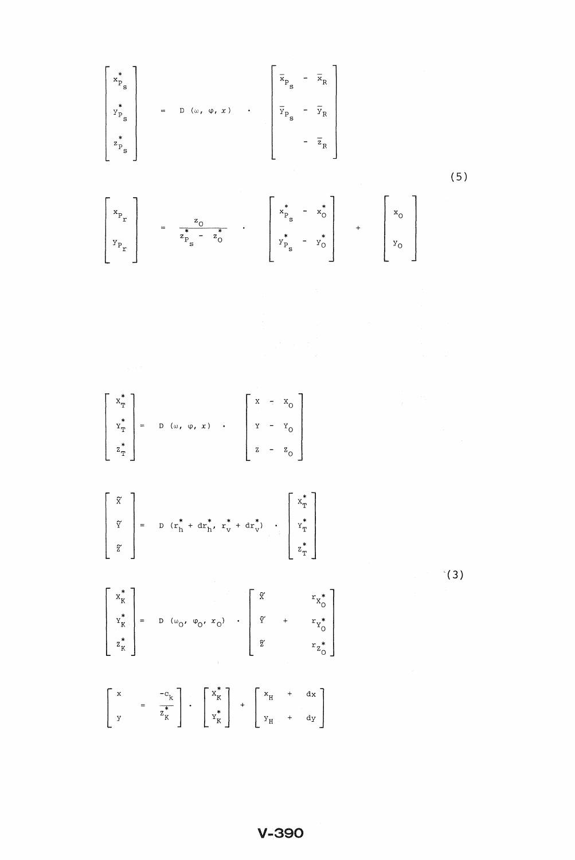$$
\begin{bmatrix}\n\begin{bmatrix}\n\begin{bmatrix}\n\begin{bmatrix}\n\begin{bmatrix}\n\begin{bmatrix}\n\begin{bmatrix}\n\begin{bmatrix}\n\begin{bmatrix}\n\begin{bmatrix}\n\begin{bmatrix}\n\begin{bmatrix}\n\begin{bmatrix}\n\begin{bmatrix}\n\begin{bmatrix}\n\begin{bmatrix}\n\begin{bmatrix}\n\begin{bmatrix}\n\begin{bmatrix}\n\begin{bmatrix}\n\begin{bmatrix}\n\begin{bmatrix}\n\begin{bmatrix\n\end{bmatrix}\n\end{bmatrix}\n\end{bmatrix}\n\end{bmatrix}\n\end{bmatrix}\n\end{bmatrix}\n\end{bmatrix}\n\end{bmatrix}\n\begin{bmatrix}\n\begin{bmatrix}\n\begin{bmatrix}\n\begin{bmatrix}\n\begin{bmatrix}\n\begin{bmatrix}\n\begin{bmatrix}\n\begin{bmatrix}\n\begin{bmatrix}\n\begin{bmatrix}\n\begin{bmatrix}\n\begin{bmatrix}\n\begin{bmatrix}\n\begin{bmatrix}\n\begin{bmatrix}\n\begin{bmatrix}\n\begin{bmatrix}\n\begin{bmatrix}\n\begin{bmatrix}\n\begin{bmatrix}\n\begin{bmatrix}\n\begin{bmatrix}\n\begin{bmatrix}\n\begin{bmatrix}\n\begin{bmatrix}\n\begin{bmatrix}\n\begin{bmatrix}\n\begin{bmatrix}\n\begin{bmatrix}\n\begin{bmatrix}\n\begin{bmatrix}\n\begin{bmatrix}\n\begin{bmatrix}\n\begin{bmatrix}\n\begin{bmatrix}\n\begin{bmatrix}\n\begin{bmatrix}\n\begin{bmatrix}\n\begin{bmatrix}\n\begin{bmatrix}\n\begin{bmatrix}\n\begin{bmatrix}\n\begin{bmatrix}\n\begin{bmatrix}\n\begin{bmatrix}\n\begin{bmatrix}\n\begin{bmatrix}\n\begin{bmatrix}\n\begin{bmatrix}\n\begin{bmatrix}\n\begin{bmatrix}\n\begin{bmatrix}\n\begin{bmatrix}\n\begin{bmatrix}\n\begin{bmatrix}\n\begin{bmatrix}\n\begin{bmatrix}\n\begin{bmatrix}\n\begin{bmatrix}\n\begin{bmatrix}\n\begin{bmatrix}\n\begin{bmatrix}\n\begin{bmatrix}\n\begin{bmatrix}\n\begin{bmatrix}\n\begin{bmatrix}\n\begin{bmatrix}\n\begin{bmatrix}\n\begin{bmatrix}\n\begin{bmatrix}\n\begin{bmatrix}\n\begin{bmatrix}\n\begin{bmatrix}\n\begin{bmatrix}\n\end{bmatrix}\\\n\end{bmatrix}\n\end{bmatrix}\n\end{
$$

$$
\begin{bmatrix} x_{\text{T}}^{*} \\ x_{\text{T}}^{*} \\ x_{\text{T}}^{*} \\ z_{\text{T}}^{*} \end{bmatrix} = D (\omega, \varphi, x) \quad . \quad \begin{bmatrix} x_{1} - x_{0} \\ x_{2} - x_{0} \\ x_{3} - x_{0} \end{bmatrix}
$$

$$
\begin{bmatrix}\n\widetilde{x} \\
\widetilde{y} \\
\widetilde{z}\n\end{bmatrix} = D (r_h^* + dr_h^*, r_v^* + dr_v^*) \cdot \begin{bmatrix}\nx_f^* \\
x_T^* \\
x_T^* \\
x_T^*\n\end{bmatrix}
$$

$$
\begin{bmatrix} x_{K}^{*} \\ y_{K}^{*} \\ z_{K}^{*} \end{bmatrix} = D (\omega_{0}, \varphi_{0}, x_{0}) \cdot \begin{bmatrix} \widetilde{X} & r_{X_{0}^{*}} \\ \widetilde{Y} & + r_{Y_{0}^{*}} \\ \widetilde{Z} & r_{Z_{0}^{*}} \end{bmatrix}
$$

$$
\left[\begin{array}{ccc} x & & & -c_k \\ y & & & z_K^* \end{array}\right] \cdot \left[\begin{array}{c} x_K^* \\ x_K^* \end{array}\right] + \left[\begin{array}{ccc} x_H & + & dx \\ y_H & & + dy \end{array}\right]
$$

 $\hat{f}(3)$ 

**V-390**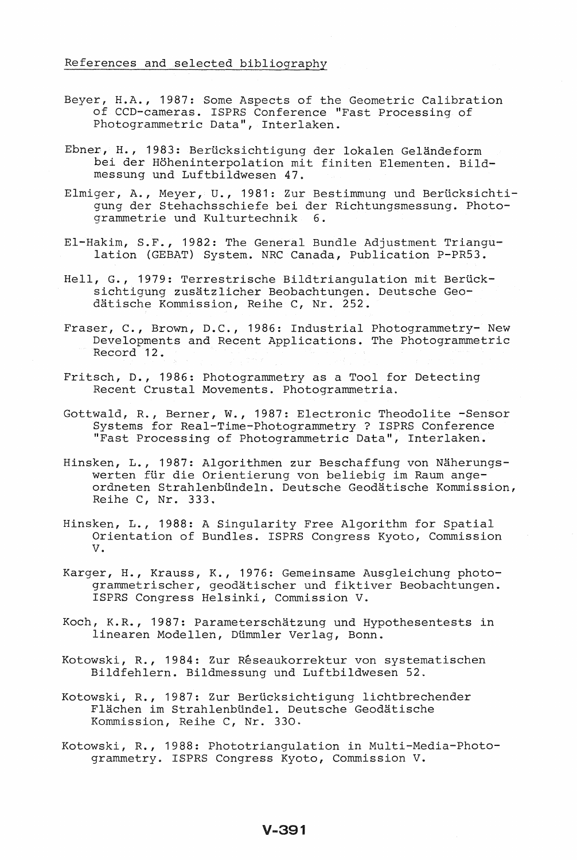- Beyer, H.A., 1987: Some Aspects of the Geometric Calibration of CCD-cameras. ISPRS Conference "Fast Processing of Photogrammetric Data", Interlaken.
- Ebner, H., 1983: Berücksichtigung der lokalen Geländeform bei der Hoheninterpolation mit finiten Elementen. Bildmessung und Luftbildwesen 47.
- Elmiger, A., Meyer, U., 1981: Zur Bestimmung und Berücksichtigung der Stehachsschiefe bei der Richtungsmessung. Photogrammetrie und Kulturtechnik 6.
- EI-Hakim, S.F., 1982: The General Bundle Adjustment Triangulation (GEBAT) System. NRC Canada, Publication P-PR53.
- Hell, G., 1979: Terrestrische Bildtriangulation mit Berücksichtigung zusatzlicher Beobachtungen. Deutsche Geodätische Kommission, Reihe C, Nr. 252.
- Fraser, C., Brown, D.C., 1986: Industrial Photogrammetry- New Developments and Recent Applications. The Photogrammetric Record 12.
- Fritsch, D., 1986: Photogrammetry as a Tool for Detecting Recent Crustal Movements. Photogrammetria.
- Gottwald, R., Berner, W., 1987: Electronic Theodolite -Sensor Systems for Real-Time-Photogrammetry ? ISPRS Conference "Fast Processing of Photogrammetric Data", Interlaken.
- Hinsken, L., 1987: Algorithmen zur Beschaffung von Näherungswerten flir die Orientierung von beliebig im Raum angeordneten Strahlenbündeln. Deutsche Geodätische Kommission, Reihe C, Nr. 333~
- Hinsken, L., 1988: A Singularity Free Algorithm for Spatial Orientation of Bundles. ISPRS Congress Kyoto, Commission V.
- Karger, H., Krauss, K., 1976: Gemeinsame Ausgleichung photogrammetrischer, geodätischer und fiktiver Beobachtungen. ISPRS Congress Helsinki, Commission V.
- Koch, K.R., 1987: Parameterschatzung und Hypothesentests in linearen Modellen, Dümmler Verlag, Bonn.
- Kotowski, R., 1984: Zur Réseaukorrektur von systematischen Bildfehlern. Bildmessung und Luftbildwesen 52.
- Kotowski, R., 1987: Zur Berlicksichtigung lichtbrechender Flächen im Strahlenbündel. Deutsche Geodätische Kommission, Reihe C, Nr. 330.
- Kotowski, R., 1988: Phototriangulation in Multi-Media-Photogrammetry. ISPRS Congress Kyoto, Commission V.